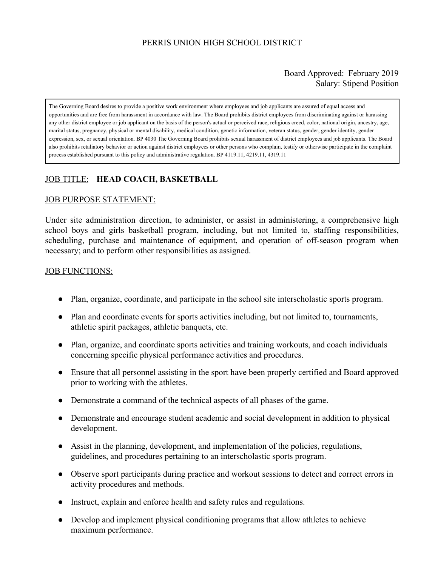## Board Approved: February 2019 Salary: Stipend Position

The Governing Board desires to provide a positive work environment where employees and job applicants are assured of equal access and opportunities and are free from harassment in accordance with law. The Board prohibits district employees from discriminating against or harassing any other district employee or job applicant on the basis of the person's actual or perceived race, religious creed, color, national origin, ancestry, age, marital status, pregnancy, physical or mental disability, medical condition, genetic information, veteran status, gender, gender identity, gender expression, sex, or sexual orientation. BP 4030 The Governing Board prohibits sexual harassment of district employees and job applicants. The Board also prohibits retaliatory behavior or action against district employees or other persons who complain, testify or otherwise participate in the complaint process established pursuant to this policy and administrative regulation. BP 4119.11, 4219.11, 4319.11

# JOB TITLE: **HEAD COACH, BASKETBALL**

#### JOB PURPOSE STATEMENT:

Under site administration direction, to administer, or assist in administering, a comprehensive high school boys and girls basketball program, including, but not limited to, staffing responsibilities, scheduling, purchase and maintenance of equipment, and operation of off-season program when necessary; and to perform other responsibilities as assigned.

#### **JOB FUNCTIONS:**

- Plan, organize, coordinate, and participate in the school site interscholastic sports program.
- Plan and coordinate events for sports activities including, but not limited to, tournaments, athletic spirit packages, athletic banquets, etc.
- Plan, organize, and coordinate sports activities and training workouts, and coach individuals concerning specific physical performance activities and procedures.
- Ensure that all personnel assisting in the sport have been properly certified and Board approved prior to working with the athletes.
- Demonstrate a command of the technical aspects of all phases of the game.
- Demonstrate and encourage student academic and social development in addition to physical development.
- Assist in the planning, development, and implementation of the policies, regulations, guidelines, and procedures pertaining to an interscholastic sports program.
- Observe sport participants during practice and workout sessions to detect and correct errors in activity procedures and methods.
- Instruct, explain and enforce health and safety rules and regulations.
- Develop and implement physical conditioning programs that allow athletes to achieve maximum performance.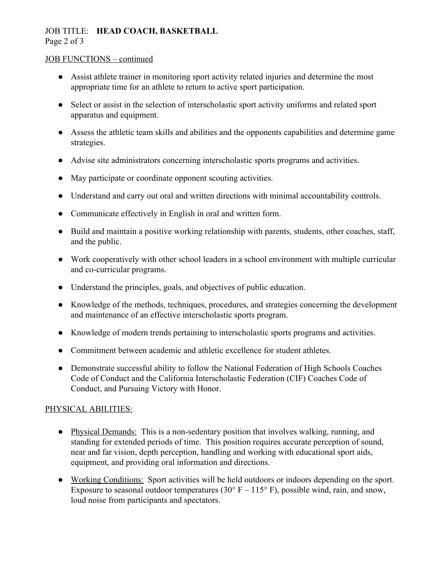# JOB TITLE: **HEAD COACH, BASKETBALL**

Page 2 of 3

## JOB FUNCTIONS – continued

- Assist athlete trainer in monitoring sport activity related injuries and determine the most appropriate time for an athlete to return to active sport participation.
- Select or assist in the selection of interscholastic sport activity uniforms and related sport apparatus and equipment.
- Assess the athletic team skills and abilities and the opponents capabilities and determine game strategies.
- Advise site administrators concerning interscholastic sports programs and activities.
- May participate or coordinate opponent scouting activities.
- Understand and carry out oral and written directions with minimal accountability controls.
- Communicate effectively in English in oral and written form.
- Build and maintain a positive working relationship with parents, students, other coaches, staff, and the public.
- Work cooperatively with other school leaders in a school environment with multiple curricular and co-curricular programs.
- Understand the principles, goals, and objectives of public education.
- Knowledge of the methods, techniques, procedures, and strategies concerning the development and maintenance of an effective interscholastic sports program.
- Knowledge of modern trends pertaining to interscholastic sports programs and activities.
- Commitment between academic and athletic excellence for student athletes.
- Demonstrate successful ability to follow the National Federation of High Schools Coaches Code of Conduct and the California Interscholastic Federation (CIF) Coaches Code of Conduct, and Pursuing Victory with Honor.

# PHYSICAL ABILITIES:

- Physical Demands: This is a non-sedentary position that involves walking, running, and standing for extended periods of time. This position requires accurate perception of sound, near and far vision, depth perception, handling and working with educational sport aids, equipment, and providing oral information and directions.
- Working Conditions: Sport activities will be held outdoors or indoors depending on the sport. Exposure to seasonal outdoor temperatures (30 $\degree$  F – 115 $\degree$  F), possible wind, rain, and snow, loud noise from participants and spectators.